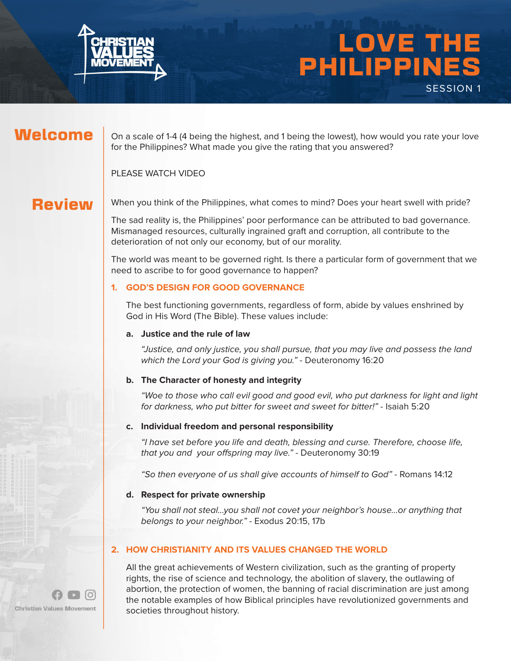

# LOVE THE PHILIPPINES SESSION 1

### Welcome

On a scale of 1-4 (4 being the highest, and 1 being the lowest), how would you rate your love for the Philippines? What made you give the rating that you answered?

PLEASE WATCH VIDEO

### **Review**

When you think of the Philippines, what comes to mind? Does your heart swell with pride?

The sad reality is, the Philippines' poor performance can be attributed to bad governance. Mismanaged resources, culturally ingrained graft and corruption, all contribute to the deterioration of not only our economy, but of our morality.

The world was meant to be governed right. Is there a particular form of government that we need to ascribe to for good governance to happen?

#### **1. GOD'S DESIGN FOR GOOD GOVERNANCE**

The best functioning governments, regardless of form, abide by values enshrined by God in His Word (The Bible). These values include:

#### **a. Justice and the rule of law**

"Justice, and only justice, you shall pursue, that you may live and possess the land which the Lord your God is giving you." - Deuteronomy 16:20

#### **b. The Character of honesty and integrity**

"Woe to those who call evil good and good evil, who put darkness for light and light for darkness, who put bitter for sweet and sweet for bitter!" - Isaiah 5:20

#### **c. Individual freedom and personal responsibility**

"I have set before you life and death, blessing and curse. Therefore, choose life, that you and your offspring may live." - Deuteronomy 30:19

"So then everyone of us shall give accounts of himself to God" - Romans 14:12

#### **d. Respect for private ownership**

"You shall not steal...you shall not covet your neighbor's house...or anything that belongs to your neighbor." - Exodus 20:15, 17b

#### **2. HOW CHRISTIANITY AND ITS VALUES CHANGED THE WORLD**

All the great achievements of Western civilization, such as the granting of property rights, the rise of science and technology, the abolition of slavery, the outlawing of abortion, the protection of women, the banning of racial discrimination are just among the notable examples of how Biblical principles have revolutionized governments and societies throughout history.